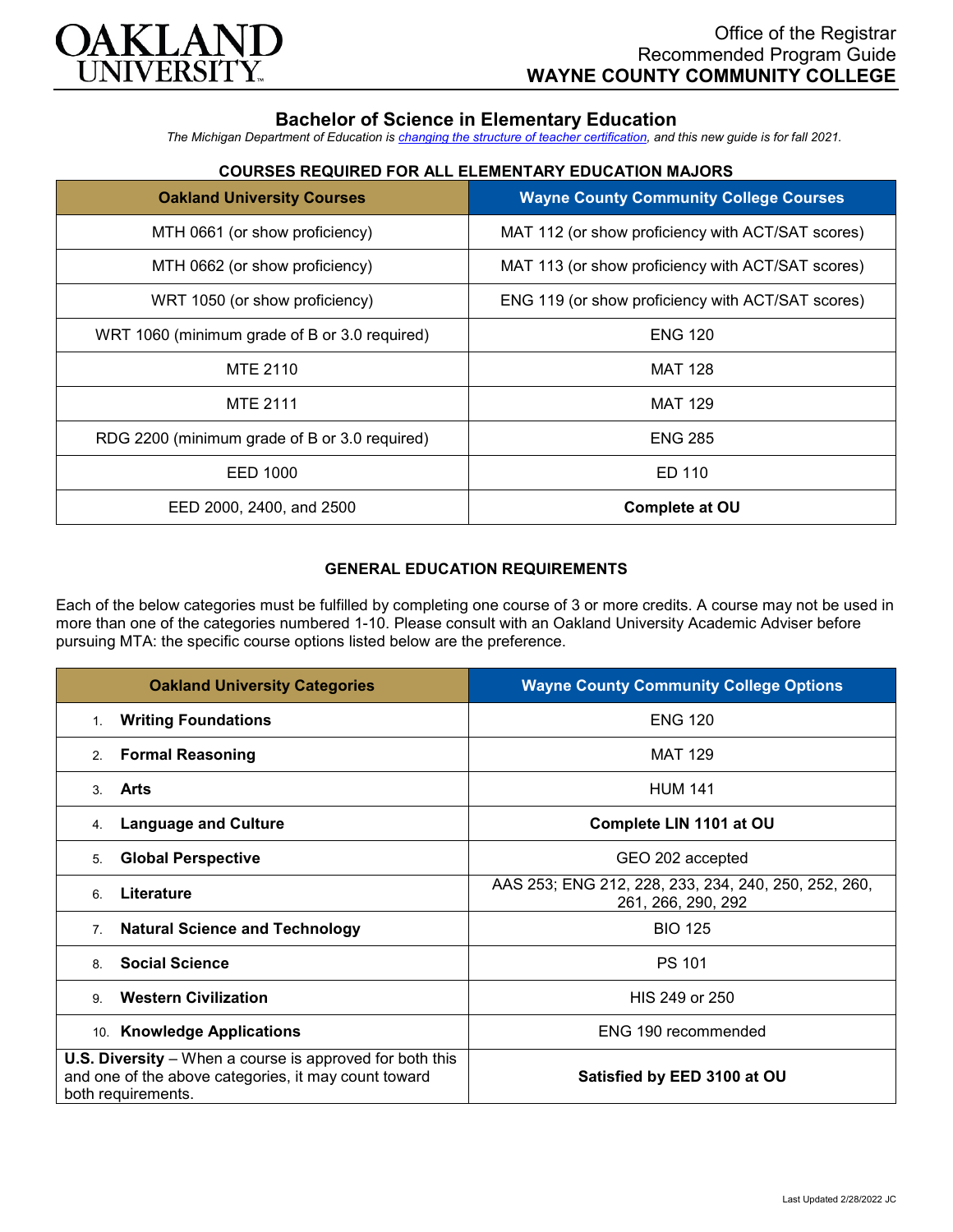

# **Bachelor of Science in Elementary Education**

*The Michigan Department of Education is [changing the structure of teacher certification,](https://docs.google.com/document/d/1W1uUK14Njx6WAB56T4jHbat65OZyg6TS04LdNWMXEcI/edit) and this new guide is for fall 2021.*

## **COURSES REQUIRED FOR ALL ELEMENTARY EDUCATION MAJORS**

| <b>Oakland University Courses</b>             | <b>Wayne County Community College Courses</b>     |
|-----------------------------------------------|---------------------------------------------------|
| MTH 0661 (or show proficiency)                | MAT 112 (or show proficiency with ACT/SAT scores) |
| MTH 0662 (or show proficiency)                | MAT 113 (or show proficiency with ACT/SAT scores) |
| WRT 1050 (or show proficiency)                | ENG 119 (or show proficiency with ACT/SAT scores) |
| WRT 1060 (minimum grade of B or 3.0 required) | <b>ENG 120</b>                                    |
| MTE 2110                                      | <b>MAT 128</b>                                    |
| <b>MTE 2111</b>                               | <b>MAT 129</b>                                    |
| RDG 2200 (minimum grade of B or 3.0 required) | <b>ENG 285</b>                                    |
| EED 1000                                      | ED 110                                            |
| EED 2000, 2400, and 2500                      | <b>Complete at OU</b>                             |

### **GENERAL EDUCATION REQUIREMENTS**

Each of the below categories must be fulfilled by completing one course of 3 or more credits. A course may not be used in more than one of the categories numbered 1-10. Please consult with an Oakland University Academic Adviser before pursuing MTA: the specific course options listed below are the preference.

| <b>Oakland University Categories</b>                                                                                                          | <b>Wayne County Community College Options</b>                              |
|-----------------------------------------------------------------------------------------------------------------------------------------------|----------------------------------------------------------------------------|
| <b>Writing Foundations</b><br>$1_{-}$                                                                                                         | <b>ENG 120</b>                                                             |
| <b>Formal Reasoning</b><br>2.                                                                                                                 | <b>MAT 129</b>                                                             |
| <b>Arts</b><br>$\mathcal{S}$                                                                                                                  | <b>HUM 141</b>                                                             |
| <b>Language and Culture</b><br>4.                                                                                                             | Complete LIN 1101 at OU                                                    |
| <b>Global Perspective</b><br>5.                                                                                                               | GEO 202 accepted                                                           |
| Literature<br>6                                                                                                                               | AAS 253; ENG 212, 228, 233, 234, 240, 250, 252, 260,<br>261, 266, 290, 292 |
| <b>Natural Science and Technology</b><br>7 <sub>1</sub>                                                                                       | <b>BIO 125</b>                                                             |
| <b>Social Science</b><br>8.                                                                                                                   | <b>PS 101</b>                                                              |
| <b>Western Civilization</b><br>9                                                                                                              | HIS 249 or 250                                                             |
| 10. Knowledge Applications                                                                                                                    | ENG 190 recommended                                                        |
| <b>U.S. Diversity</b> – When a course is approved for both this<br>and one of the above categories, it may count toward<br>both requirements. | Satisfied by EED 3100 at OU                                                |